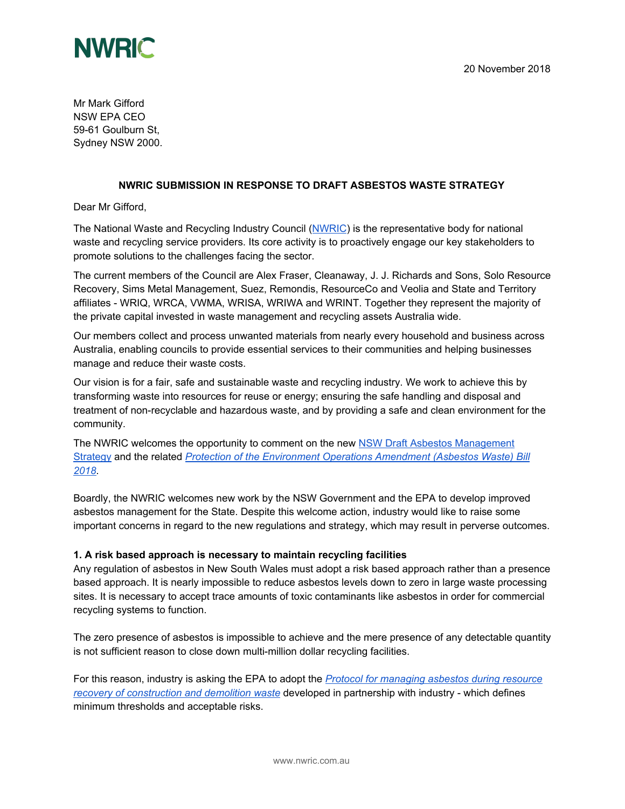

Mr Mark Gifford NSW EPA CEO 59-61 Goulburn St, Sydney NSW 2000.

## **NWRIC SUBMISSION IN RESPONSE TO DRAFT ASBESTOS WASTE STRATEGY**

Dear Mr Gifford,

The National Waste and Recycling Industry Council ([NWRIC\)](http://www.nwric.com.au/) is the representative body for national waste and recycling service providers. Its core activity is to proactively engage our key stakeholders to promote solutions to the challenges facing the sector.

The current members of the Council are Alex Fraser, Cleanaway, J. J. Richards and Sons, Solo Resource Recovery, Sims Metal Management, Suez, Remondis, ResourceCo and Veolia and State and Territory affiliates - WRIQ, WRCA, VWMA, WRISA, WRIWA and WRINT. Together they represent the majority of the private capital invested in waste management and recycling assets Australia wide.

Our members collect and process unwanted materials from nearly every household and business across Australia, enabling councils to provide essential services to their communities and helping businesses manage and reduce their waste costs.

Our vision is for a fair, safe and sustainable waste and recycling industry. We work to achieve this by transforming waste into resources for reuse or energy; ensuring the safe handling and disposal and treatment of non-recyclable and hazardous waste, and by providing a safe and clean environment for the community.

The NWRIC welcomes the opportunity to comment on the new NSW Draft Asbestos [Management](https://www.epa.nsw.gov.au/your-environment/waste/industrial-waste/asbestos-waste-strategy-2018-22) [Strategy](https://www.epa.nsw.gov.au/your-environment/waste/industrial-waste/asbestos-waste-strategy-2018-22) and the related *Protection of the [Environment](https://www.parliament.nsw.gov.au/bill/files/3597/First%20Print.pdf) Operations Amendment (Asbestos Waste) Bill [2018](https://www.parliament.nsw.gov.au/bill/files/3597/First%20Print.pdf)*.

Boardly, the NWRIC welcomes new work by the NSW Government and the EPA to develop improved asbestos management for the State. Despite this welcome action, industry would like to raise some important concerns in regard to the new regulations and strategy, which may result in perverse outcomes.

#### **1. A risk based approach is necessary to maintain recycling facilities**

Any regulation of asbestos in New South Wales must adopt a risk based approach rather than a presence based approach. It is nearly impossible to reduce asbestos levels down to zero in large waste processing sites. It is necessary to accept trace amounts of toxic contaminants like asbestos in order for commercial recycling systems to function.

The zero presence of asbestos is impossible to achieve and the mere presence of any detectable quantity is not sufficient reason to close down multi-million dollar recycling facilities.

For this reason, industry is asking the EPA to adopt the *Protocol for [managing](https://www.epa.nsw.gov.au/-/media/epa/corporate-site/resources/waste/140345-asbestos-draft.pdf) asbestos during resource recovery of [construction](https://www.epa.nsw.gov.au/-/media/epa/corporate-site/resources/waste/140345-asbestos-draft.pdf) and demolition waste* developed in partnership with industry - which defines minimum thresholds and acceptable risks.